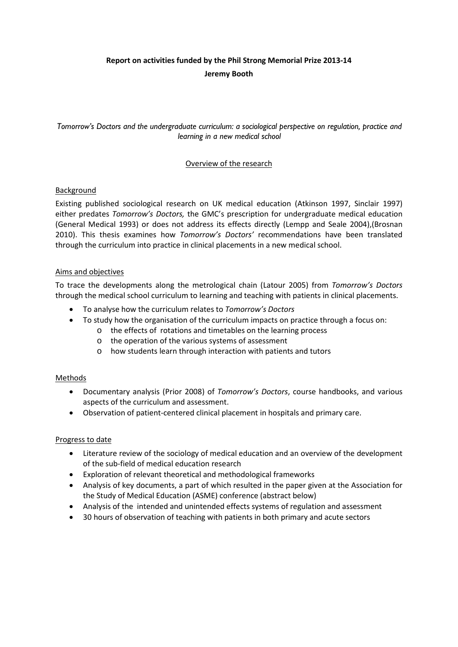# **Report on activities funded by the Phil Strong Memorial Prize 2013-14 Jeremy Booth**

*Tomorrow's Doctors and the undergraduate curriculum: a sociological perspective on regulation, practice and learning in a new medical school*

# Overview of the research

# Background

Existing published sociological research on UK medical education [\(Atkinson 1997,](#page-2-0) [Sinclair 1997\)](#page-2-1) either predates *Tomorrow's Doctors,* the GMC's prescription for undergraduate medical education [\(General Medical 1993\)](#page-2-2) or does not address its effects directly [\(Lempp and Seale 2004\)](#page-2-3),[\(Brosnan](#page-2-4)  [2010\)](#page-2-4). This thesis examines how *Tomorrow's Doctors'* recommendations have been translated through the curriculum into practice in clinical placements in a new medical school.

# Aims and objectives

To trace the developments along the metrological chain [\(Latour 2005\)](#page-2-5) from *Tomorrow's Doctors* through the medical school curriculum to learning and teaching with patients in clinical placements.

- To analyse how the curriculum relates to *Tomorrow's Doctors*
- To study how the organisation of the curriculum impacts on practice through a focus on:
	- o the effects of rotations and timetables on the learning process
	- o the operation of the various systems of assessment
	- o how students learn through interaction with patients and tutors

#### Methods

- Documentary analysis [\(Prior 2008\)](#page-2-6) of *Tomorrow's Doctors*, course handbooks, and various aspects of the curriculum and assessment.
- Observation of patient-centered clinical placement in hospitals and primary care.

#### Progress to date

- Literature review of the sociology of medical education and an overview of the development of the sub-field of medical education research
- Exploration of relevant theoretical and methodological frameworks
- Analysis of key documents, a part of which resulted in the paper given at the Association for the Study of Medical Education (ASME) conference (abstract below)
- Analysis of the intended and unintended effects systems of regulation and assessment
- 30 hours of observation of teaching with patients in both primary and acute sectors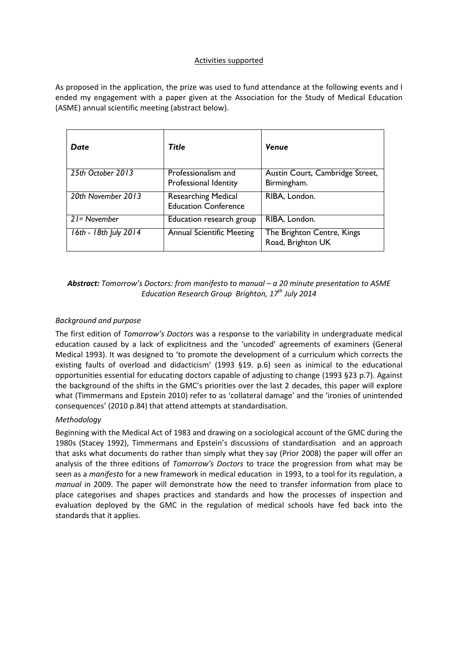#### Activities supported

As proposed in the application, the prize was used to fund attendance at the following events and I ended my engagement with a paper given at the Association for the Study of Medical Education (ASME) annual scientific meeting (abstract below).

| Date                      | Title                                                     | <b>Venue</b>                                    |
|---------------------------|-----------------------------------------------------------|-------------------------------------------------|
| 25th October 2013         | Professionalism and<br>Professional Identity              | Austin Court, Cambridge Street,<br>Birmingham.  |
| 20th November 2013        | <b>Researching Medical</b><br><b>Education Conference</b> | RIBA, London.                                   |
| 21 <sup>st</sup> November | Education research group                                  | RIBA, London.                                   |
| 16th - 18th July 2014     | <b>Annual Scientific Meeting</b>                          | The Brighton Centre, Kings<br>Road, Brighton UK |

# *Abstract: Tomorrow's Doctors: from manifesto to manual – a 20 minute presentation to ASME Education Research Group Brighton, 17th July 2014*

#### *Background and purpose*

The first edition of *Tomorrow's Doctors* was a response to the variability in undergraduate medical education caused by a lack of explicitness and the 'uncoded' agreements of examiners (General Medical 1993). It was designed to 'to promote the development of a curriculum which corrects the existing faults of overload and didacticism' (1993 §19. p.6) seen as inimical to the educational opportunities essential for educating doctors capable of adjusting to change (1993 §23 p.7). Against the background of the shifts in the GMC's priorities over the last 2 decades, this paper will explore what (Timmermans and Epstein 2010) refer to as 'collateral damage' and the 'ironies of unintended consequences' (2010 p.84) that attend attempts at standardisation.

#### *Methodology*

Beginning with the Medical Act of 1983 and drawing on a sociological account of the GMC during the 1980s (Stacey 1992), Timmermans and Epstein's discussions of standardisation and an approach that asks what documents do rather than simply what they say (Prior 2008) the paper will offer an analysis of the three editions of *Tomorrow's Doctors* to trace the progression from what may be seen as a *manifesto* for a new framework in medical education in 1993, to a tool for its regulation, a *manual* in 2009. The paper will demonstrate how the need to transfer information from place to place categorises and shapes practices and standards and how the processes of inspection and evaluation deployed by the GMC in the regulation of medical schools have fed back into the standards that it applies.